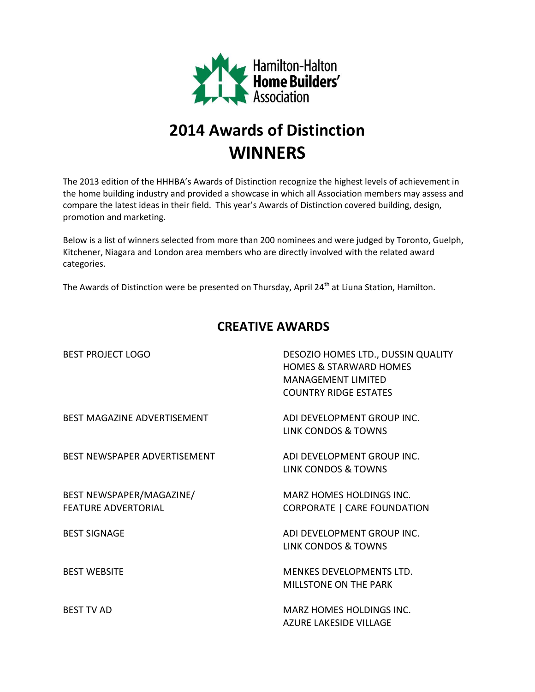

## **2014 Awards of Distinction WINNERS**

The 2013 edition of the HHHBA's Awards of Distinction recognize the highest levels of achievement in the home building industry and provided a showcase in which all Association members may assess and compare the latest ideas in their field. This year's Awards of Distinction covered building, design, promotion and marketing.

Below is a list of winners selected from more than 200 nominees and were judged by Toronto, Guelph, Kitchener, Niagara and London area members who are directly involved with the related award categories.

The Awards of Distinction were be presented on Thursday, April 24<sup>th</sup> at Liuna Station, Hamilton.

## **CREATIVE AWARDS**

| <b>BEST PROJECT LOGO</b>                               | DESOZIO HOMES LTD., DUSSIN QUALITY<br><b>HOMES &amp; STARWARD HOMES</b><br><b>MANAGEMENT LIMITED</b><br><b>COUNTRY RIDGE ESTATES</b> |
|--------------------------------------------------------|--------------------------------------------------------------------------------------------------------------------------------------|
| <b>BEST MAGAZINE ADVERTISEMENT</b>                     | ADI DEVELOPMENT GROUP INC.<br><b>LINK CONDOS &amp; TOWNS</b>                                                                         |
| BEST NEWSPAPER ADVERTISEMENT                           | ADI DEVELOPMENT GROUP INC.<br>LINK CONDOS & TOWNS                                                                                    |
| BEST NEWSPAPER/MAGAZINE/<br><b>FEATURE ADVERTORIAL</b> | <b>MARZ HOMES HOLDINGS INC.</b><br><b>CORPORATE   CARE FOUNDATION</b>                                                                |
| <b>BEST SIGNAGE</b>                                    | ADI DEVELOPMENT GROUP INC.<br>LINK CONDOS & TOWNS                                                                                    |
| <b>BEST WEBSITE</b>                                    | MENKES DEVELOPMENTS LTD.<br>MILLSTONE ON THE PARK                                                                                    |
| <b>BEST TV AD</b>                                      | MARZ HOMES HOLDINGS INC.<br>AZURE LAKESIDE VILLAGE                                                                                   |
|                                                        |                                                                                                                                      |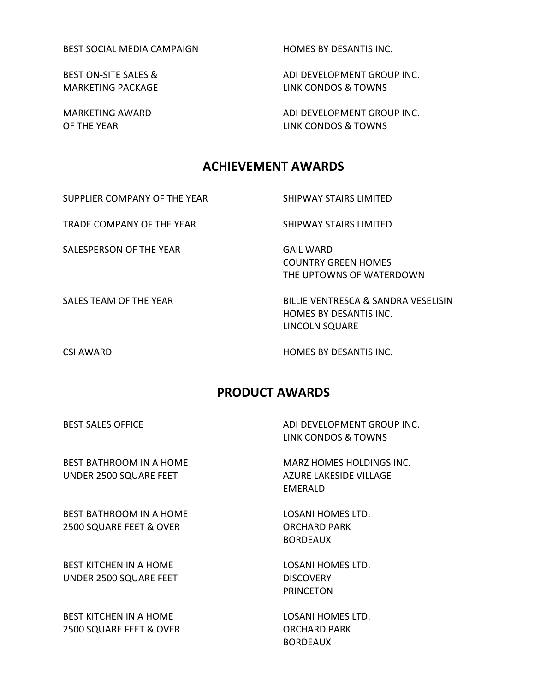BEST SOCIAL MEDIA CAMPAIGN HOMES BY DESANTIS INC.

BEST ON-SITE SALES & ADI DEVELOPMENT GROUP INC. MARKETING PACKAGE LINK CONDOS & TOWNS

MARKETING AWARD **ADI DEVELOPMENT GROUP INC.** OF THE YEAR LINK CONDOS & TOWNS

## **ACHIEVEMENT AWARDS**

SUPPLIER COMPANY OF THE YEAR SHIPWAY STAIRS LIMITED

TRADE COMPANY OF THE YEAR SHIPWAY STAIRS LIMITED

SALESPERSON OF THE YEAR GAIL WARD

COUNTRY GREEN HOMES THE UPTOWNS OF WATERDOWN

SALES TEAM OF THE YEAR BILLIE VENTRESCA & SANDRA VESELISIN

CSI AWARD HOMES BY DESANTIS INC.

HOMES BY DESANTIS INC.

LINCOLN SQUARE

## **PRODUCT AWARDS**

BEST SALES OFFICE ADI DEVELOPMENT GROUP INC. LINK CONDOS & TOWNS

BEST BATHROOM IN A HOME MARZ HOMES HOLDINGS INC. UNDER 2500 SQUARE FEET AZURE LAKESIDE VILLAGE

BEST BATHROOM IN A HOME LOSANI HOMES LTD. 2500 SQUARE FEET & OVER CONTROLLED BETWEEN SCHARD PARK

BEST KITCHEN IN A HOME LOSANI HOMES LTD. UNDER 2500 SQUARE FEET DISCOVERY

BEST KITCHEN IN A HOME **LOSANI HOMES LTD.** 2500 SQUARE FEET & OVER CONTROLLED BACHARD PARK

EMERALD

BORDEAUX

PRINCETON

BORDEAUX